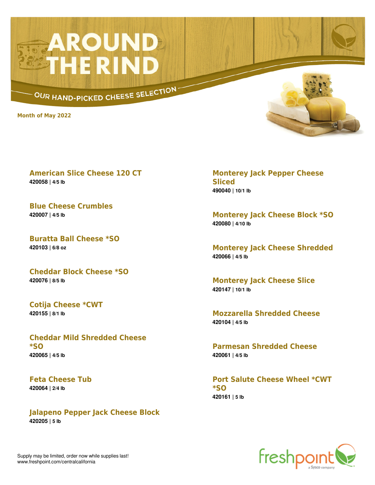## **AROUND**<br>STHE RIND

OUR HAND-PICKED CHEESE SELECTION

**Month of May 2022**



**American Slice Cheese 120 CT 420058 | 4/5 lb**

**Blue Cheese Crumbles 420007 | 4/5 lb**

**Buratta Ball Cheese \*SO 420103 | 6/8 oz**

**Cheddar Block Cheese \*SO 420076 | 8/5 lb**

**Cotija Cheese \*CWT 420155 | 8/1 lb**

**Cheddar Mild Shredded Cheese \*SO 420065 | 4/5 lb**

**Feta Cheese Tub 420064 | 2/4 lb**

**Jalapeno Pepper Jack Cheese Block 420205 | 5 lb**

**Monterey Jack Pepper Cheese Sliced 490040 | 10/1 lb**

**Monterey Jack Cheese Block \*SO 420080 | 4/10 lb**

**Monterey Jack Cheese Shredded 420066 | 4/5 lb**

**Monterey Jack Cheese Slice 420147 | 10/1 lb**

**Mozzarella Shredded Cheese 420104 | 4/5 lb**

**Parmesan Shredded Cheese 420061 | 4/5 lb**

**Port Salute Cheese Wheel \*CWT \*SO 420161 | 5 lb**